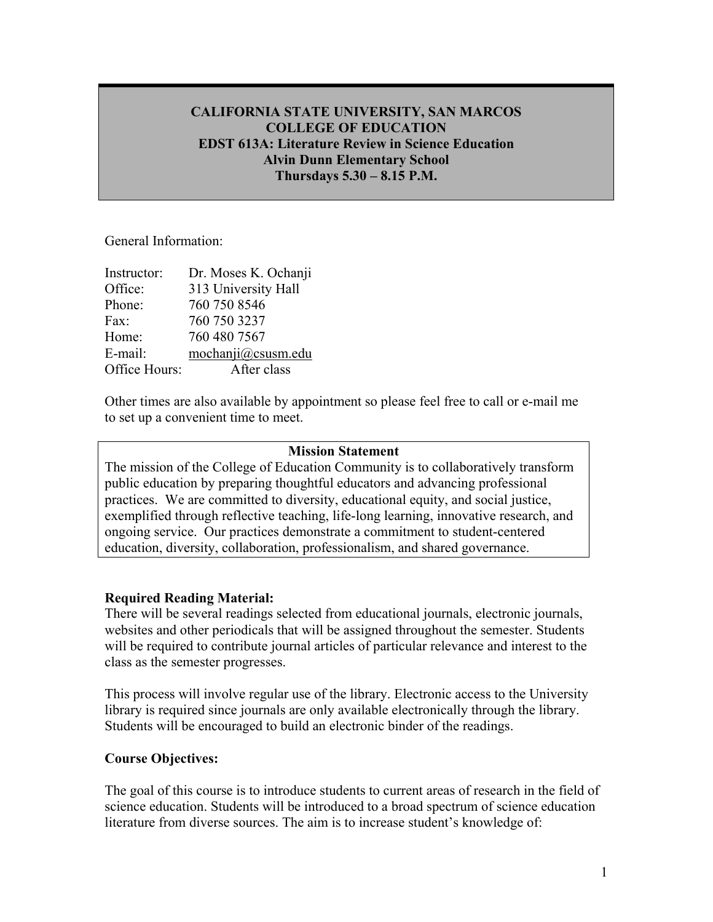# **CALIFORNIA STATE UNIVERSITY, SAN MARCOS COLLEGE OF EDUCATION EDST 613A: Literature Review in Science Education Alvin Dunn Elementary School Thursdays 5.30 – 8.15 P.M.**

## General Information:

| Instructor:   | Dr. Moses K. Ochanji |
|---------------|----------------------|
| Office:       | 313 University Hall  |
| Phone:        | 760 750 8546         |
| Fax:          | 760 750 3237         |
| Home:         | 760 480 7567         |
| E-mail:       | mochanji@csusm.edu   |
| Office Hours: | After class          |
|               |                      |

Other times are also available by appointment so please feel free to call or e-mail me to set up a convenient time to meet.

## **Mission Statement**

The mission of the College of Education Community is to collaboratively transform public education by preparing thoughtful educators and advancing professional practices. We are committed to diversity, educational equity, and social justice, exemplified through reflective teaching, life-long learning, innovative research, and ongoing service. Our practices demonstrate a commitment to student-centered education, diversity, collaboration, professionalism, and shared governance.

## **Required Reading Material:**

There will be several readings selected from educational journals, electronic journals, websites and other periodicals that will be assigned throughout the semester. Students will be required to contribute journal articles of particular relevance and interest to the class as the semester progresses.

This process will involve regular use of the library. Electronic access to the University library is required since journals are only available electronically through the library. Students will be encouraged to build an electronic binder of the readings.

## **Course Objectives:**

The goal of this course is to introduce students to current areas of research in the field of science education. Students will be introduced to a broad spectrum of science education literature from diverse sources. The aim is to increase student's knowledge of: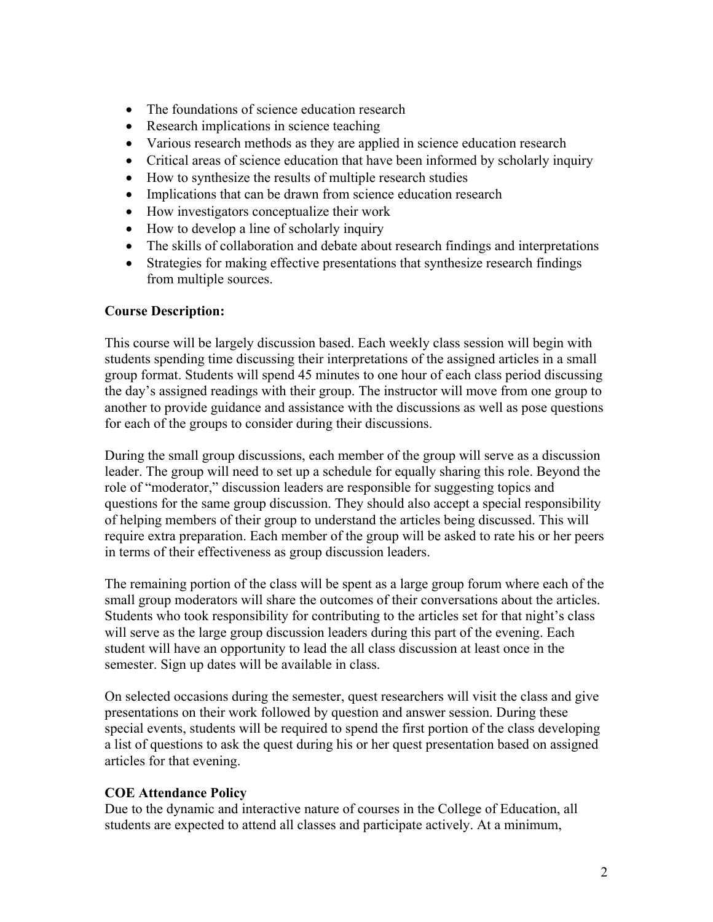- The foundations of science education research
- Research implications in science teaching
- Various research methods as they are applied in science education research
- Critical areas of science education that have been informed by scholarly inquiry
- How to synthesize the results of multiple research studies
- Implications that can be drawn from science education research
- How investigators conceptualize their work
- How to develop a line of scholarly inquiry
- The skills of collaboration and debate about research findings and interpretations
- Strategies for making effective presentations that synthesize research findings from multiple sources.

## **Course Description:**

This course will be largely discussion based. Each weekly class session will begin with students spending time discussing their interpretations of the assigned articles in a small group format. Students will spend 45 minutes to one hour of each class period discussing the day's assigned readings with their group. The instructor will move from one group to another to provide guidance and assistance with the discussions as well as pose questions for each of the groups to consider during their discussions.

During the small group discussions, each member of the group will serve as a discussion leader. The group will need to set up a schedule for equally sharing this role. Beyond the role of "moderator," discussion leaders are responsible for suggesting topics and questions for the same group discussion. They should also accept a special responsibility of helping members of their group to understand the articles being discussed. This will require extra preparation. Each member of the group will be asked to rate his or her peers in terms of their effectiveness as group discussion leaders.

The remaining portion of the class will be spent as a large group forum where each of the small group moderators will share the outcomes of their conversations about the articles. Students who took responsibility for contributing to the articles set for that night's class will serve as the large group discussion leaders during this part of the evening. Each student will have an opportunity to lead the all class discussion at least once in the semester. Sign up dates will be available in class.

On selected occasions during the semester, quest researchers will visit the class and give presentations on their work followed by question and answer session. During these special events, students will be required to spend the first portion of the class developing a list of questions to ask the quest during his or her quest presentation based on assigned articles for that evening.

# **COE Attendance Policy**

Due to the dynamic and interactive nature of courses in the College of Education, all students are expected to attend all classes and participate actively. At a minimum,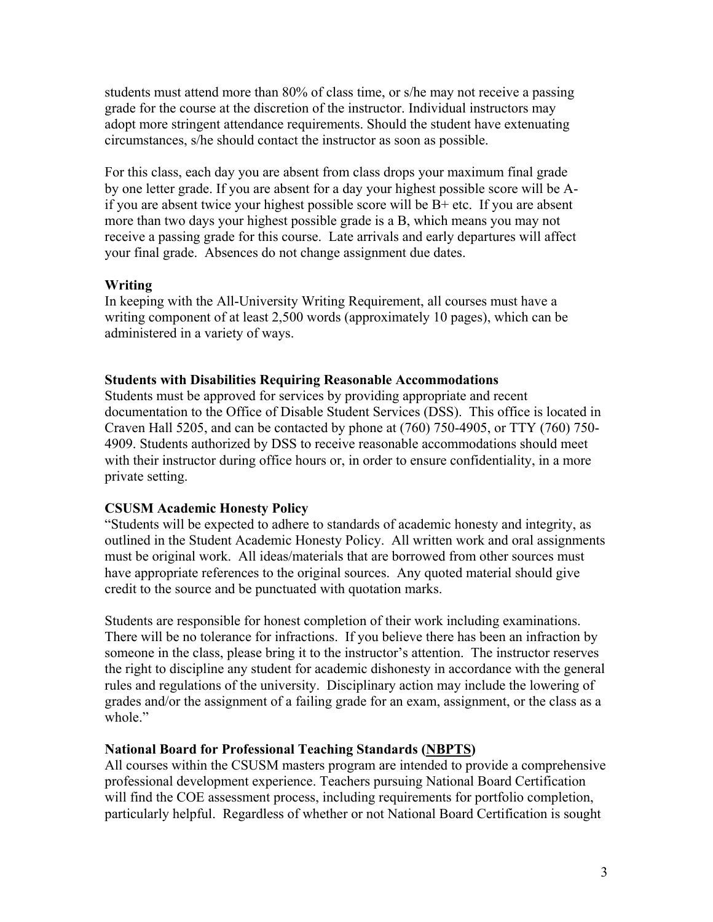students must attend more than 80% of class time, or s/he may not receive a passing grade for the course at the discretion of the instructor. Individual instructors may adopt more stringent attendance requirements. Should the student have extenuating circumstances, s/he should contact the instructor as soon as possible.

For this class, each day you are absent from class drops your maximum final grade by one letter grade. If you are absent for a day your highest possible score will be Aif you are absent twice your highest possible score will be B+ etc. If you are absent more than two days your highest possible grade is a B, which means you may not receive a passing grade for this course. Late arrivals and early departures will affect your final grade. Absences do not change assignment due dates.

# **Writing**

In keeping with the All-University Writing Requirement, all courses must have a writing component of at least 2,500 words (approximately 10 pages), which can be administered in a variety of ways.

## **Students with Disabilities Requiring Reasonable Accommodations**

Students must be approved for services by providing appropriate and recent documentation to the Office of Disable Student Services (DSS). This office is located in Craven Hall 5205, and can be contacted by phone at (760) 750-4905, or TTY (760) 750- 4909. Students authorized by DSS to receive reasonable accommodations should meet with their instructor during office hours or, in order to ensure confidentiality, in a more private setting.

# **CSUSM Academic Honesty Policy**

"Students will be expected to adhere to standards of academic honesty and integrity, as outlined in the Student Academic Honesty Policy. All written work and oral assignments must be original work. All ideas/materials that are borrowed from other sources must have appropriate references to the original sources. Any quoted material should give credit to the source and be punctuated with quotation marks.

Students are responsible for honest completion of their work including examinations. There will be no tolerance for infractions. If you believe there has been an infraction by someone in the class, please bring it to the instructor's attention. The instructor reserves the right to discipline any student for academic dishonesty in accordance with the general rules and regulations of the university. Disciplinary action may include the lowering of grades and/or the assignment of a failing grade for an exam, assignment, or the class as a whole."

# **National Board for Professional Teaching Standards (NBPTS)**

All courses within the CSUSM masters program are intended to provide a comprehensive professional development experience. Teachers pursuing National Board Certification will find the COE assessment process, including requirements for portfolio completion, particularly helpful. Regardless of whether or not National Board Certification is sought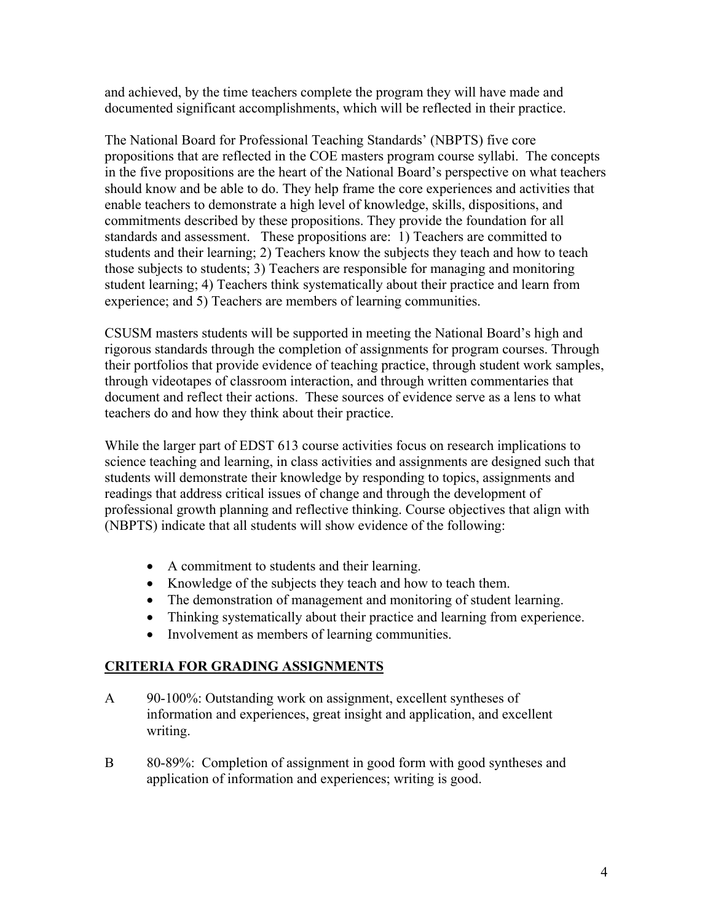and achieved, by the time teachers complete the program they will have made and documented significant accomplishments, which will be reflected in their practice.

The National Board for Professional Teaching Standards' (NBPTS) five core propositions that are reflected in the COE masters program course syllabi. The concepts in the five propositions are the heart of the National Board's perspective on what teachers should know and be able to do. They help frame the core experiences and activities that enable teachers to demonstrate a high level of knowledge, skills, dispositions, and commitments described by these propositions. They provide the foundation for all standards and assessment. These propositions are: 1) Teachers are committed to students and their learning; 2) Teachers know the subjects they teach and how to teach those subjects to students; 3) Teachers are responsible for managing and monitoring student learning; 4) Teachers think systematically about their practice and learn from experience; and 5) Teachers are members of learning communities.

CSUSM masters students will be supported in meeting the National Board's high and rigorous standards through the completion of assignments for program courses. Through their portfolios that provide evidence of teaching practice, through student work samples, through videotapes of classroom interaction, and through written commentaries that document and reflect their actions. These sources of evidence serve as a lens to what teachers do and how they think about their practice.

While the larger part of EDST 613 course activities focus on research implications to science teaching and learning, in class activities and assignments are designed such that students will demonstrate their knowledge by responding to topics, assignments and readings that address critical issues of change and through the development of professional growth planning and reflective thinking. Course objectives that align with (NBPTS) indicate that all students will show evidence of the following:

- A commitment to students and their learning.
- Knowledge of the subjects they teach and how to teach them.
- The demonstration of management and monitoring of student learning.
- Thinking systematically about their practice and learning from experience.
- Involvement as members of learning communities.

# **CRITERIA FOR GRADING ASSIGNMENTS**

- A 90-100%: Outstanding work on assignment, excellent syntheses of information and experiences, great insight and application, and excellent writing.
- B 80-89%: Completion of assignment in good form with good syntheses and application of information and experiences; writing is good.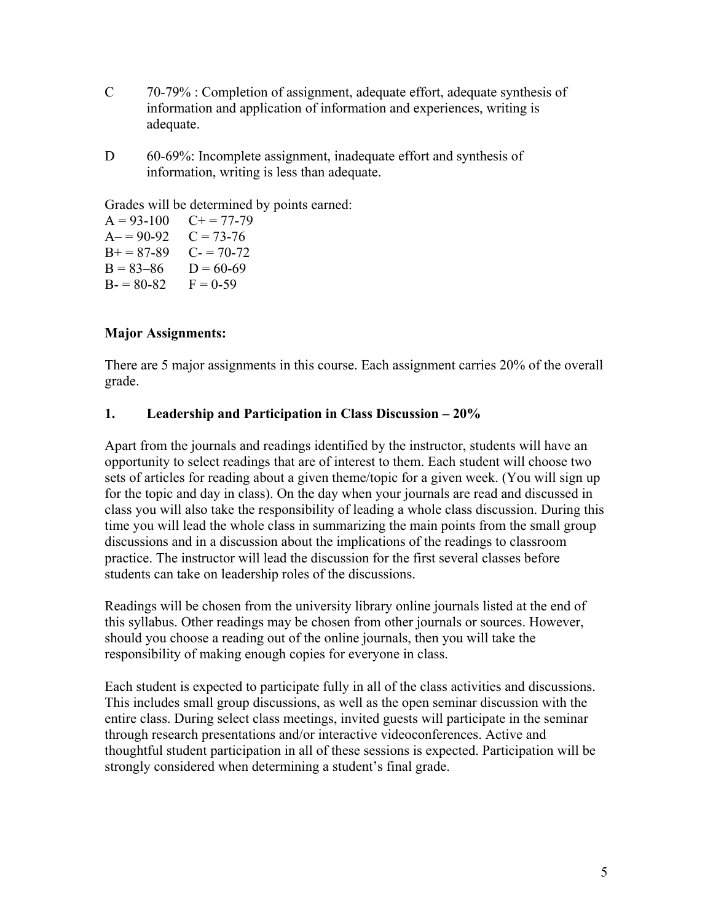- C 70-79% : Completion of assignment, adequate effort, adequate synthesis of information and application of information and experiences, writing is adequate.
- D 60-69%: Incomplete assignment, inadequate effort and synthesis of information, writing is less than adequate.

Grades will be determined by points earned:

 $A = 93-100$   $C+= 77-79$  $A = 90-92$   $C = 73-76$  $B+=87-89$  C- = 70-72  $B = 83-86$   $D = 60-69$  $B = 80-82$   $F = 0-59$ 

# **Major Assignments:**

There are 5 major assignments in this course. Each assignment carries 20% of the overall grade.

# **1. Leadership and Participation in Class Discussion – 20%**

Apart from the journals and readings identified by the instructor, students will have an opportunity to select readings that are of interest to them. Each student will choose two sets of articles for reading about a given theme/topic for a given week. (You will sign up for the topic and day in class). On the day when your journals are read and discussed in class you will also take the responsibility of leading a whole class discussion. During this time you will lead the whole class in summarizing the main points from the small group discussions and in a discussion about the implications of the readings to classroom practice. The instructor will lead the discussion for the first several classes before students can take on leadership roles of the discussions.

Readings will be chosen from the university library online journals listed at the end of this syllabus. Other readings may be chosen from other journals or sources. However, should you choose a reading out of the online journals, then you will take the responsibility of making enough copies for everyone in class.

Each student is expected to participate fully in all of the class activities and discussions. This includes small group discussions, as well as the open seminar discussion with the entire class. During select class meetings, invited guests will participate in the seminar through research presentations and/or interactive videoconferences. Active and thoughtful student participation in all of these sessions is expected. Participation will be strongly considered when determining a student's final grade.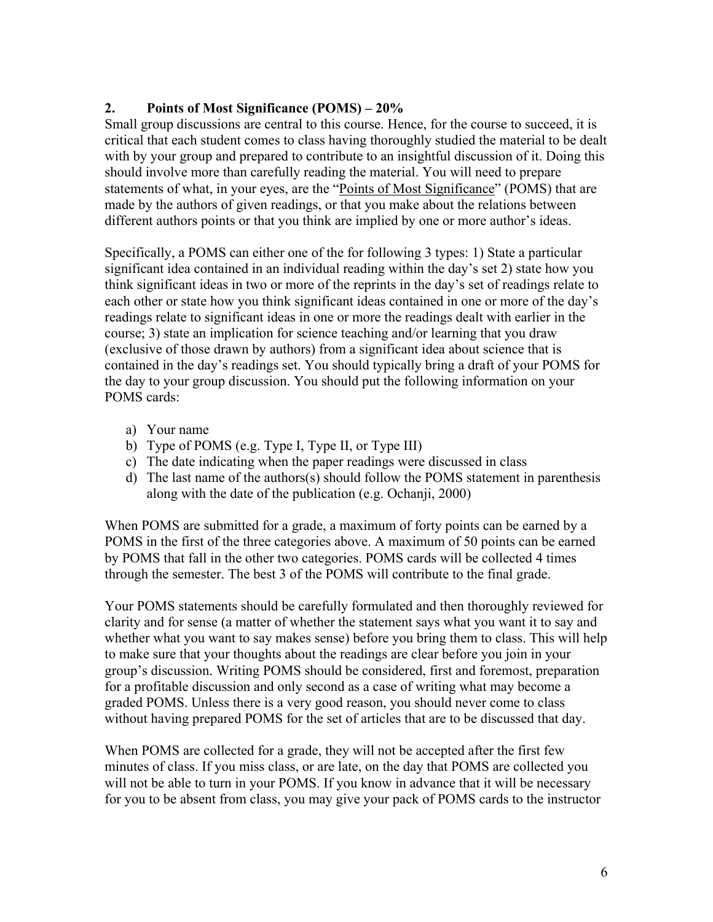# **2. Points of Most Significance (POMS) – 20%**

Small group discussions are central to this course. Hence, for the course to succeed, it is critical that each student comes to class having thoroughly studied the material to be dealt with by your group and prepared to contribute to an insightful discussion of it. Doing this should involve more than carefully reading the material. You will need to prepare statements of what, in your eyes, are the "Points of Most Significance" (POMS) that are made by the authors of given readings, or that you make about the relations between different authors points or that you think are implied by one or more author's ideas.

Specifically, a POMS can either one of the for following 3 types: 1) State a particular significant idea contained in an individual reading within the day's set 2) state how you think significant ideas in two or more of the reprints in the day's set of readings relate to each other or state how you think significant ideas contained in one or more of the day's readings relate to significant ideas in one or more the readings dealt with earlier in the course; 3) state an implication for science teaching and/or learning that you draw (exclusive of those drawn by authors) from a significant idea about science that is contained in the day's readings set. You should typically bring a draft of your POMS for the day to your group discussion. You should put the following information on your POMS cards:

- a) Your name
- b) Type of POMS (e.g. Type I, Type II, or Type III)
- c) The date indicating when the paper readings were discussed in class
- d) The last name of the authors(s) should follow the POMS statement in parenthesis along with the date of the publication (e.g. Ochanji, 2000)

When POMS are submitted for a grade, a maximum of forty points can be earned by a POMS in the first of the three categories above. A maximum of 50 points can be earned by POMS that fall in the other two categories. POMS cards will be collected 4 times through the semester. The best 3 of the POMS will contribute to the final grade.

Your POMS statements should be carefully formulated and then thoroughly reviewed for clarity and for sense (a matter of whether the statement says what you want it to say and whether what you want to say makes sense) before you bring them to class. This will help to make sure that your thoughts about the readings are clear before you join in your group's discussion. Writing POMS should be considered, first and foremost, preparation for a profitable discussion and only second as a case of writing what may become a graded POMS. Unless there is a very good reason, you should never come to class without having prepared POMS for the set of articles that are to be discussed that day.

When POMS are collected for a grade, they will not be accepted after the first few minutes of class. If you miss class, or are late, on the day that POMS are collected you will not be able to turn in your POMS. If you know in advance that it will be necessary for you to be absent from class, you may give your pack of POMS cards to the instructor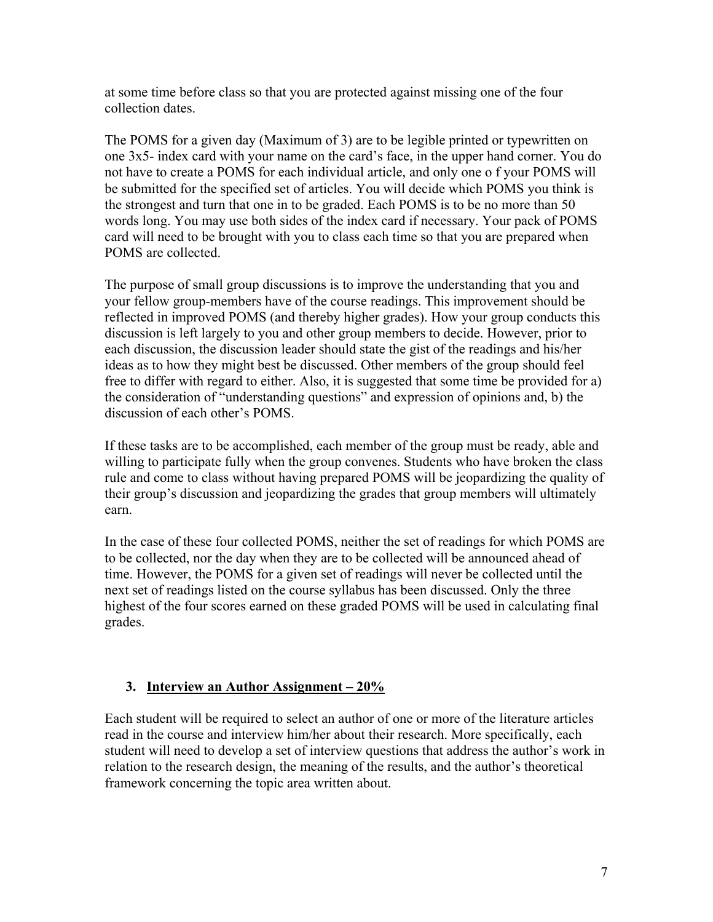at some time before class so that you are protected against missing one of the four collection dates.

The POMS for a given day (Maximum of 3) are to be legible printed or typewritten on one 3x5- index card with your name on the card's face, in the upper hand corner. You do not have to create a POMS for each individual article, and only one o f your POMS will be submitted for the specified set of articles. You will decide which POMS you think is the strongest and turn that one in to be graded. Each POMS is to be no more than 50 words long. You may use both sides of the index card if necessary. Your pack of POMS card will need to be brought with you to class each time so that you are prepared when POMS are collected.

The purpose of small group discussions is to improve the understanding that you and your fellow group-members have of the course readings. This improvement should be reflected in improved POMS (and thereby higher grades). How your group conducts this discussion is left largely to you and other group members to decide. However, prior to each discussion, the discussion leader should state the gist of the readings and his/her ideas as to how they might best be discussed. Other members of the group should feel free to differ with regard to either. Also, it is suggested that some time be provided for a) the consideration of "understanding questions" and expression of opinions and, b) the discussion of each other's POMS.

If these tasks are to be accomplished, each member of the group must be ready, able and willing to participate fully when the group convenes. Students who have broken the class rule and come to class without having prepared POMS will be jeopardizing the quality of their group's discussion and jeopardizing the grades that group members will ultimately earn.

In the case of these four collected POMS, neither the set of readings for which POMS are to be collected, nor the day when they are to be collected will be announced ahead of time. However, the POMS for a given set of readings will never be collected until the next set of readings listed on the course syllabus has been discussed. Only the three highest of the four scores earned on these graded POMS will be used in calculating final grades.

# **3. Interview an Author Assignment – 20%**

Each student will be required to select an author of one or more of the literature articles read in the course and interview him/her about their research. More specifically, each student will need to develop a set of interview questions that address the author's work in relation to the research design, the meaning of the results, and the author's theoretical framework concerning the topic area written about.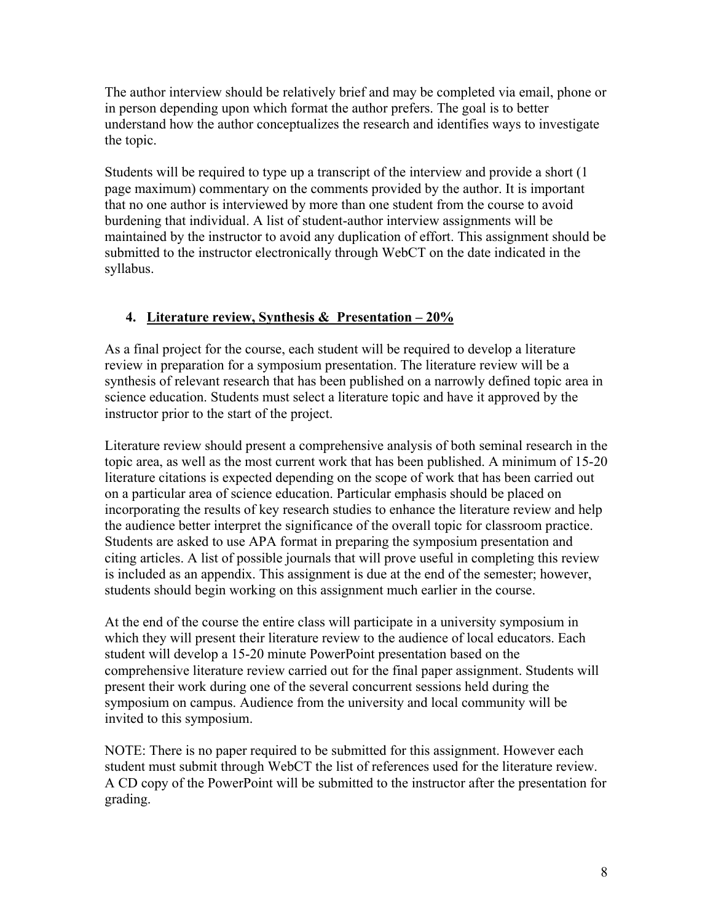The author interview should be relatively brief and may be completed via email, phone or in person depending upon which format the author prefers. The goal is to better understand how the author conceptualizes the research and identifies ways to investigate the topic.

Students will be required to type up a transcript of the interview and provide a short (1 page maximum) commentary on the comments provided by the author. It is important that no one author is interviewed by more than one student from the course to avoid burdening that individual. A list of student-author interview assignments will be maintained by the instructor to avoid any duplication of effort. This assignment should be submitted to the instructor electronically through WebCT on the date indicated in the syllabus.

# **4. Literature review, Synthesis & Presentation – 20%**

As a final project for the course, each student will be required to develop a literature review in preparation for a symposium presentation. The literature review will be a synthesis of relevant research that has been published on a narrowly defined topic area in science education. Students must select a literature topic and have it approved by the instructor prior to the start of the project.

Literature review should present a comprehensive analysis of both seminal research in the topic area, as well as the most current work that has been published. A minimum of 15-20 literature citations is expected depending on the scope of work that has been carried out on a particular area of science education. Particular emphasis should be placed on incorporating the results of key research studies to enhance the literature review and help the audience better interpret the significance of the overall topic for classroom practice. Students are asked to use APA format in preparing the symposium presentation and citing articles. A list of possible journals that will prove useful in completing this review is included as an appendix. This assignment is due at the end of the semester; however, students should begin working on this assignment much earlier in the course.

At the end of the course the entire class will participate in a university symposium in which they will present their literature review to the audience of local educators. Each student will develop a 15-20 minute PowerPoint presentation based on the comprehensive literature review carried out for the final paper assignment. Students will present their work during one of the several concurrent sessions held during the symposium on campus. Audience from the university and local community will be invited to this symposium.

NOTE: There is no paper required to be submitted for this assignment. However each student must submit through WebCT the list of references used for the literature review. A CD copy of the PowerPoint will be submitted to the instructor after the presentation for grading.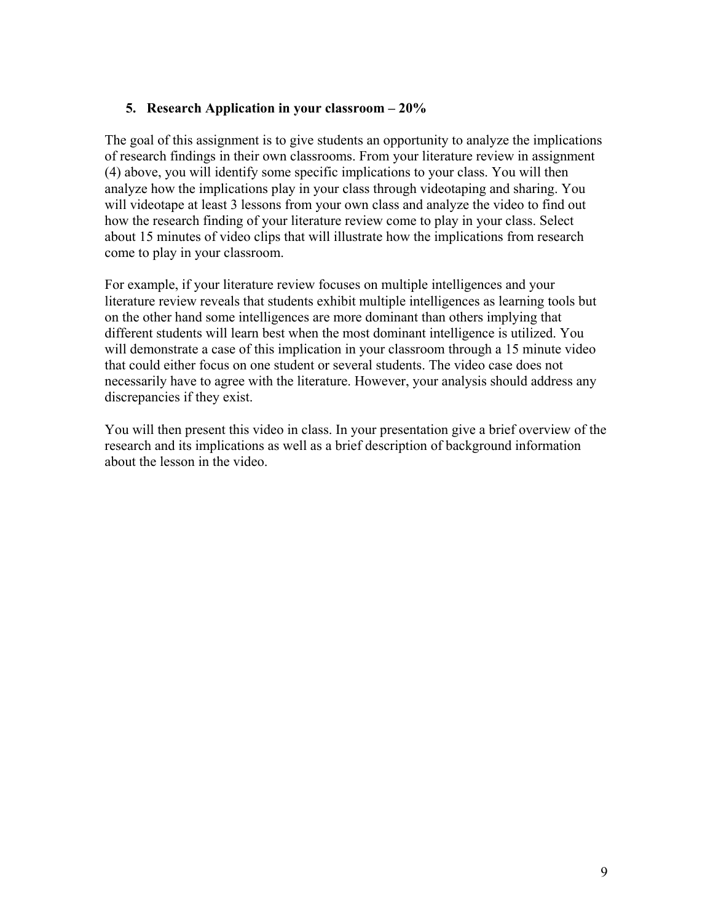## **5. Research Application in your classroom – 20%**

The goal of this assignment is to give students an opportunity to analyze the implications of research findings in their own classrooms. From your literature review in assignment (4) above, you will identify some specific implications to your class. You will then analyze how the implications play in your class through videotaping and sharing. You will videotape at least 3 lessons from your own class and analyze the video to find out how the research finding of your literature review come to play in your class. Select about 15 minutes of video clips that will illustrate how the implications from research come to play in your classroom.

For example, if your literature review focuses on multiple intelligences and your literature review reveals that students exhibit multiple intelligences as learning tools but on the other hand some intelligences are more dominant than others implying that different students will learn best when the most dominant intelligence is utilized. You will demonstrate a case of this implication in your classroom through a 15 minute video that could either focus on one student or several students. The video case does not necessarily have to agree with the literature. However, your analysis should address any discrepancies if they exist.

You will then present this video in class. In your presentation give a brief overview of the research and its implications as well as a brief description of background information about the lesson in the video.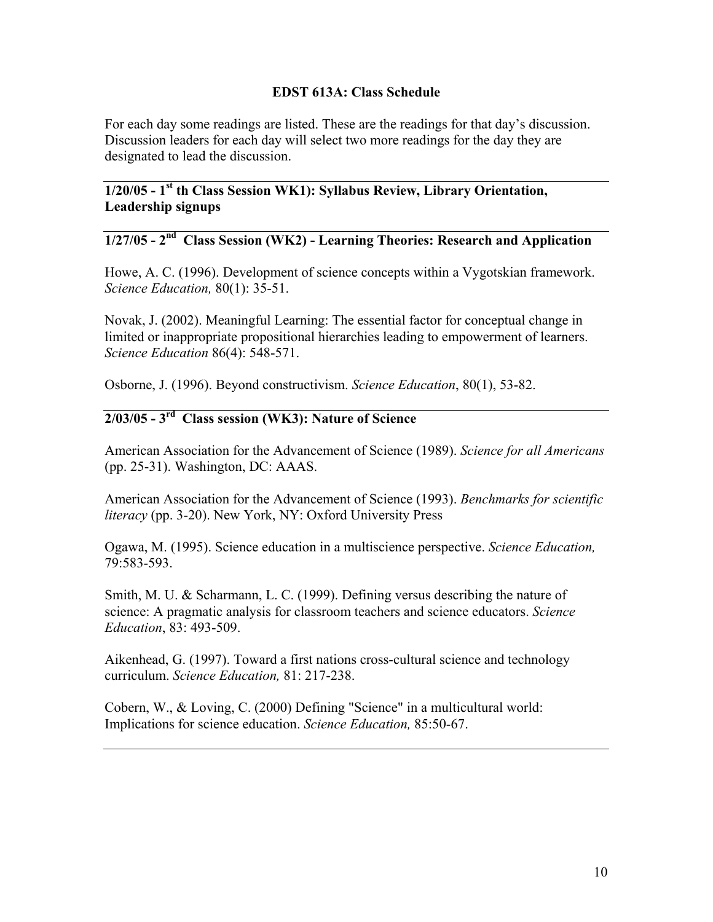## **EDST 613A: Class Schedule**

For each day some readings are listed. These are the readings for that day's discussion. Discussion leaders for each day will select two more readings for the day they are designated to lead the discussion.

**1/20/05 - 1st th Class Session WK1): Syllabus Review, Library Orientation, Leadership signups** 

# **1/27/05 - 2nd Class Session (WK2) - Learning Theories: Research and Application**

Howe, A. C. (1996). Development of science concepts within a Vygotskian framework. *Science Education,* 80(1): 35-51.

Novak, J. (2002). Meaningful Learning: The essential factor for conceptual change in limited or inappropriate propositional hierarchies leading to empowerment of learners. *Science Education* 86(4): 548-571.

Osborne, J. (1996). Beyond constructivism. *Science Education*, 80(1), 53-82.

# **2/03/05 - 3rd Class session (WK3): Nature of Science**

American Association for the Advancement of Science (1989). *Science for all Americans* (pp. 25-31). Washington, DC: AAAS.

American Association for the Advancement of Science (1993). *Benchmarks for scientific literacy* (pp. 3-20). New York, NY: Oxford University Press

Ogawa, M. (1995). Science education in a multiscience perspective. *Science Education,* 79:583-593.

Smith, M. U. & Scharmann, L. C. (1999). Defining versus describing the nature of science: A pragmatic analysis for classroom teachers and science educators. *Science Education*, 83: 493-509.

Aikenhead, G. (1997). Toward a first nations cross-cultural science and technology curriculum. *Science Education,* 81: 217-238.

Cobern, W., & Loving, C. (2000) Defining "Science" in a multicultural world: Implications for science education. *Science Education,* 85:50-67.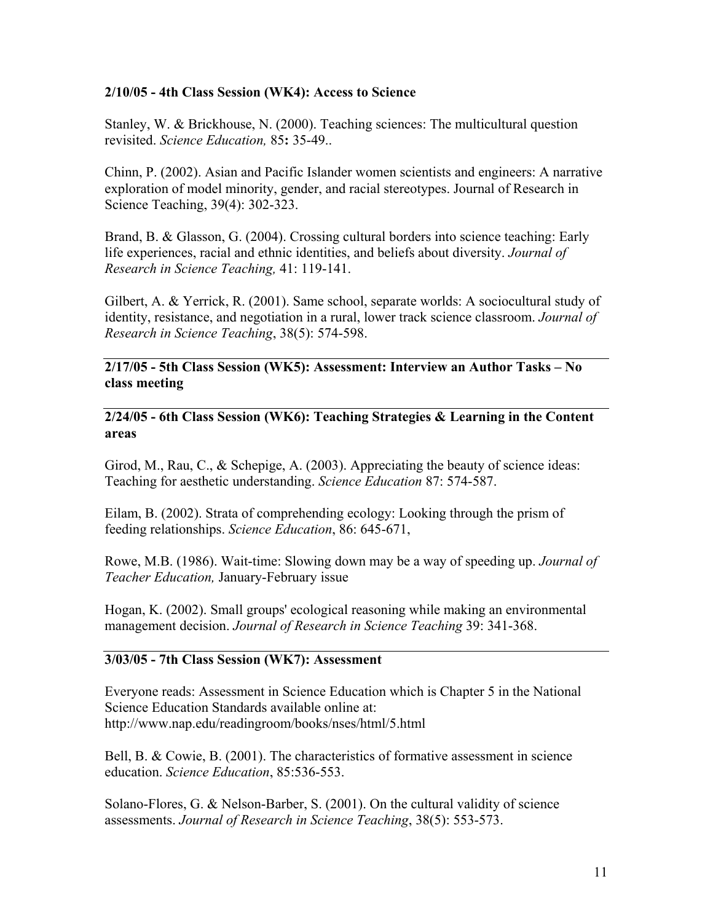## **2/10/05 - 4th Class Session (WK4): Access to Science**

Stanley, W. & Brickhouse, N. (2000). Teaching sciences: The multicultural question revisited. *Science Education,* 85**:** 35-49..

Chinn, P. (2002). Asian and Pacific Islander women scientists and engineers: A narrative exploration of model minority, gender, and racial stereotypes. Journal of Research in Science Teaching, 39(4): 302-323.

Brand, B. & Glasson, G. (2004). Crossing cultural borders into science teaching: Early life experiences, racial and ethnic identities, and beliefs about diversity. *Journal of Research in Science Teaching,* 41: 119-141.

Gilbert, A. & Yerrick, R. (2001). Same school, separate worlds: A sociocultural study of identity, resistance, and negotiation in a rural, lower track science classroom. *Journal of Research in Science Teaching*, 38(5): 574-598.

## **2/17/05 - 5th Class Session (WK5): Assessment: Interview an Author Tasks – No class meeting**

**2/24/05 - 6th Class Session (WK6): Teaching Strategies & Learning in the Content areas** 

Girod, M., Rau, C., & Schepige, A.  $(2003)$ . Appreciating the beauty of science ideas: Teaching for aesthetic understanding. *Science Education* 87: 574-587.

Eilam, B. (2002). Strata of comprehending ecology: Looking through the prism of feeding relationships. *Science Education*, 86: 645-671,

Rowe, M.B. (1986). Wait-time: Slowing down may be a way of speeding up. *Journal of Teacher Education,* January-February issue

Hogan, K. (2002). Small groups' ecological reasoning while making an environmental management decision. *Journal of Research in Science Teaching* 39: 341-368.

## **3/03/05 - 7th Class Session (WK7): Assessment**

Everyone reads: Assessment in Science Education which is Chapter 5 in the National Science Education Standards available online at: http://www.nap.edu/readingroom/books/nses/html/5.html

Bell, B. & Cowie, B. (2001). The characteristics of formative assessment in science education. *Science Education*, 85:536-553.

Solano-Flores, G. & Nelson-Barber, S. (2001). On the cultural validity of science assessments. *Journal of Research in Science Teaching*, 38(5): 553-573.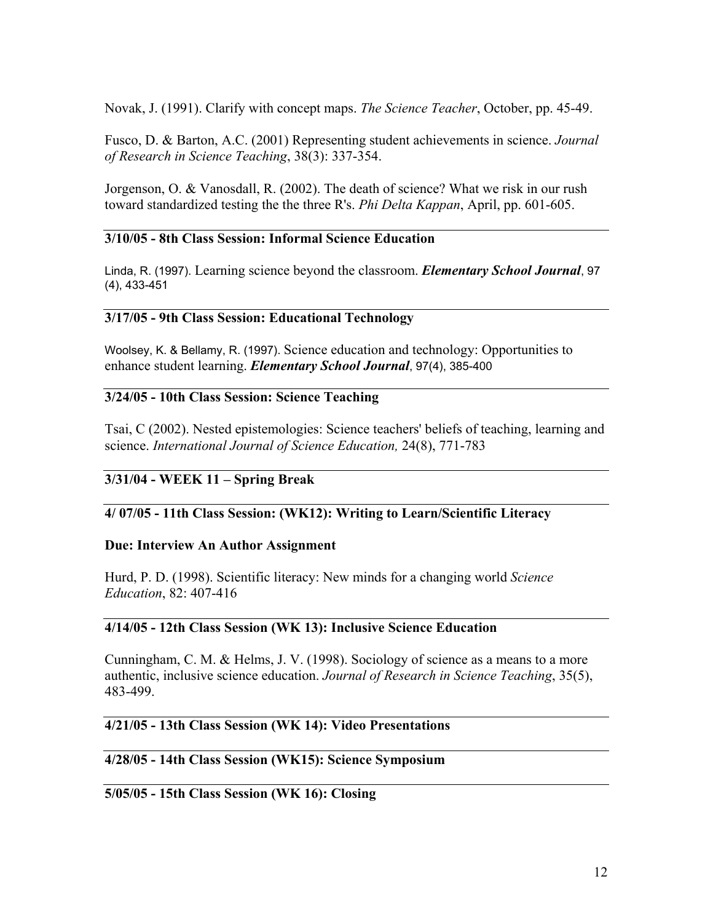Novak, J. (1991). Clarify with concept maps. *The Science Teacher*, October, pp. 45-49.

Fusco, D. & Barton, A.C. (2001) Representing student achievements in science. *Journal of Research in Science Teaching*, 38(3): 337-354.

Jorgenson, O. & Vanosdall, R. (2002). The death of science? What we risk in our rush toward standardized testing the the three R's. *Phi Delta Kappan*, April, pp. 601-605.

## **3/10/05 - 8th Class Session: Informal Science Education**

Linda, R. (1997). Learning science beyond the classroom. *Elementary School Journal*, 97 (4), 433-451

### **3/17/05 - 9th Class Session: Educational Technology**

Woolsey, K. & Bellamy, R. (1997). Science education and technology: Opportunities to enhance student learning. *Elementary School Journal*, 97(4), 385-400

### **3/24/05 - 10th Class Session: Science Teaching**

Tsai, C (2002). Nested epistemologies: Science teachers' beliefs of teaching, learning and science. *International Journal of Science Education,* 24(8), 771-783

## **3/31/04 - WEEK 11 – Spring Break**

### **4/ 07/05 - 11th Class Session: (WK12): Writing to Learn/Scientific Literacy**

#### **Due: Interview An Author Assignment**

Hurd, P. D. (1998). Scientific literacy: New minds for a changing world *Science Education*, 82: 407-416

### **4/14/05 - 12th Class Session (WK 13): Inclusive Science Education**

Cunningham, C. M. & Helms, J. V. (1998). Sociology of science as a means to a more authentic, inclusive science education. *Journal of Research in Science Teaching*, 35(5), 483-499.

## **4/21/05 - 13th Class Session (WK 14): Video Presentations**

#### **4/28/05 - 14th Class Session (WK15): Science Symposium**

## **5/05/05 - 15th Class Session (WK 16): Closing**